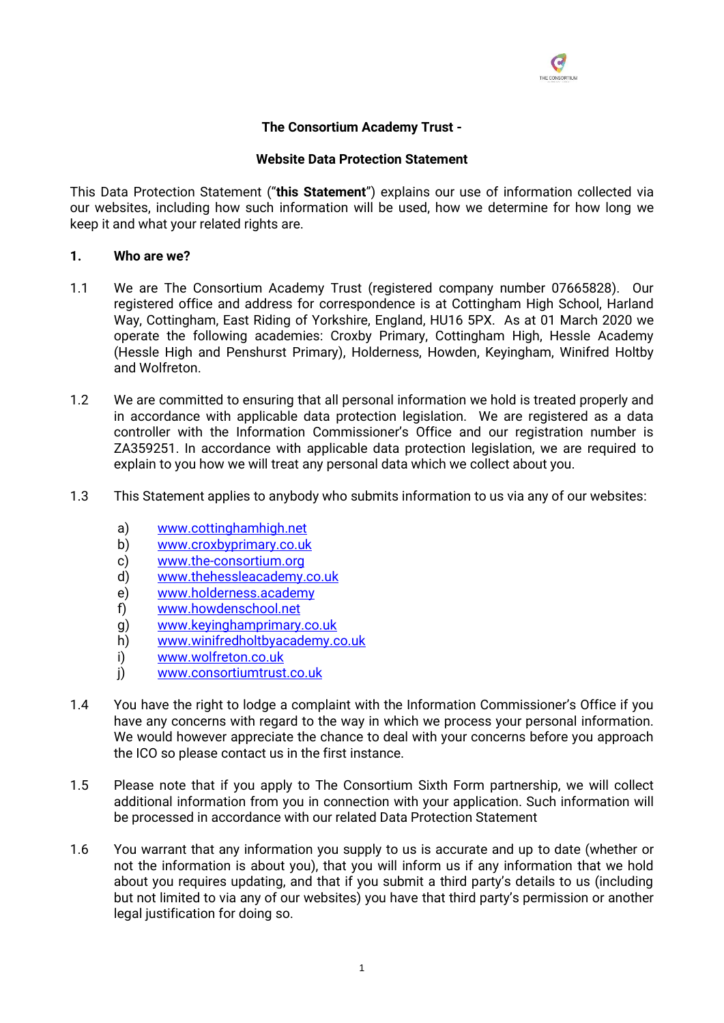

# **The Consortium Academy Trust -**

#### **Website Data Protection Statement**

This Data Protection Statement ("**this Statement**") explains our use of information collected via our websites, including how such information will be used, how we determine for how long we keep it and what your related rights are.

#### **1. Who are we?**

- 1.1 We are The Consortium Academy Trust (registered company number 07665828). Our registered office and address for correspondence is at Cottingham High School, Harland Way, Cottingham, East Riding of Yorkshire, England, HU16 5PX. As at 01 March 2020 we operate the following academies: Croxby Primary, Cottingham High, Hessle Academy (Hessle High and Penshurst Primary), Holderness, Howden, Keyingham, Winifred Holtby and Wolfreton.
- 1.2 We are committed to ensuring that all personal information we hold is treated properly and in accordance with applicable data protection legislation. We are registered as a data controller with the Information Commissioner's Office and our registration number is ZA359251. In accordance with applicable data protection legislation, we are required to explain to you how we will treat any personal data which we collect about you.
- 1.3 This Statement applies to anybody who submits information to us via any of our websites:
	- a) [www.cottinghamhigh.net](http://www.cottinghamhigh.net/)
	- b) [www.croxbyprimary.co.uk](http://www.croxbyprimary.co.uk/)
	- c) [www.the-consortium.org](file:///C:/Users/stafford.g.COTT/AppData/Local/Microsoft/Windows/INetCache/Content.Outlook/IOO91DPC/www.the-consortium.org)
	- d) [www.thehessleacademy.co.uk](http://www.thehessleacademy.co.uk/)
	- e) [www.holderness.academy](http://www.holderness.academy/)
	- f) [www.howdenschool.net](http://www.howdenschool.net/)
	- g) <www.keyinghamprimary.co.uk>
	- h) <www.winifredholtbyacademy.co.uk>
	- i) [www.wolfreton.co.uk](http://www.wolfreton.co.uk/)
	- j) [www.consortiumtrust.co.uk](http://www.consortiumtrust.co.uk/)
- 1.4 You have the right to lodge a complaint with the Information Commissioner's Office if you have any concerns with regard to the way in which we process your personal information. We would however appreciate the chance to deal with your concerns before you approach the ICO so please contact us in the first instance.
- 1.5 Please note that if you apply to The Consortium Sixth Form partnership, we will collect additional information from you in connection with your application. Such information will be processed in accordance with our related Data Protection Statement
- 1.6 You warrant that any information you supply to us is accurate and up to date (whether or not the information is about you), that you will inform us if any information that we hold about you requires updating, and that if you submit a third party's details to us (including but not limited to via any of our websites) you have that third party's permission or another legal justification for doing so.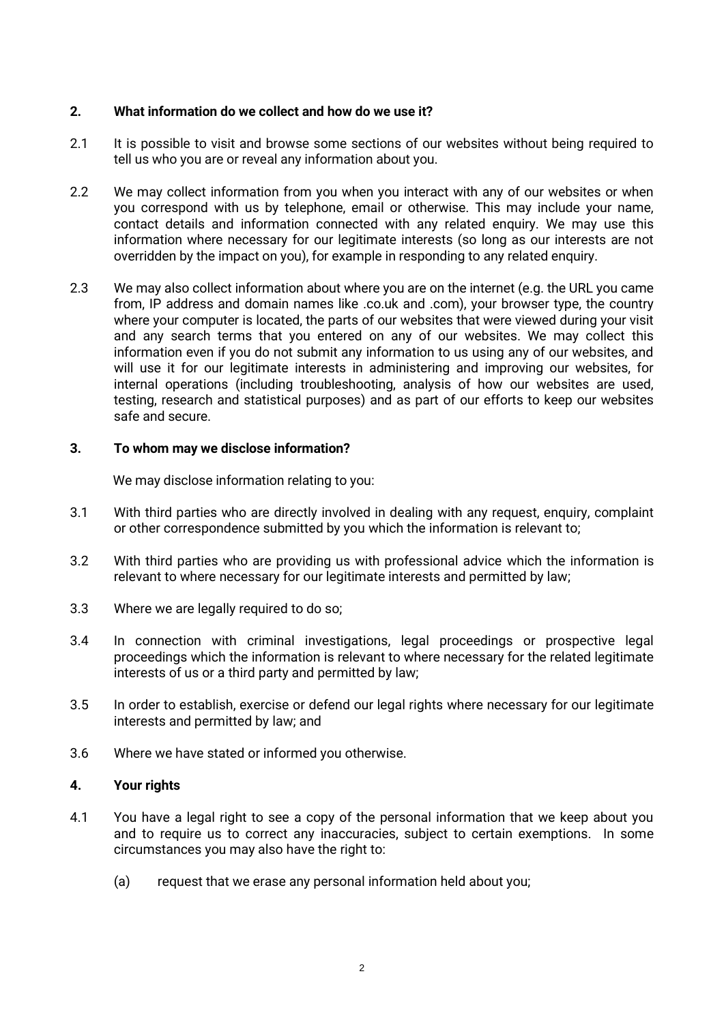## **2. What information do we collect and how do we use it?**

- 2.1 It is possible to visit and browse some sections of our websites without being required to tell us who you are or reveal any information about you.
- 2.2 We may collect information from you when you interact with any of our websites or when you correspond with us by telephone, email or otherwise. This may include your name, contact details and information connected with any related enquiry. We may use this information where necessary for our legitimate interests (so long as our interests are not overridden by the impact on you), for example in responding to any related enquiry.
- 2.3 We may also collect information about where you are on the internet (e.g. the URL you came from, IP address and domain names like .co.uk and .com), your browser type, the country where your computer is located, the parts of our websites that were viewed during your visit and any search terms that you entered on any of our websites. We may collect this information even if you do not submit any information to us using any of our websites, and will use it for our legitimate interests in administering and improving our websites, for internal operations (including troubleshooting, analysis of how our websites are used, testing, research and statistical purposes) and as part of our efforts to keep our websites safe and secure.

#### **3. To whom may we disclose information?**

We may disclose information relating to you:

- 3.1 With third parties who are directly involved in dealing with any request, enquiry, complaint or other correspondence submitted by you which the information is relevant to;
- 3.2 With third parties who are providing us with professional advice which the information is relevant to where necessary for our legitimate interests and permitted by law;
- 3.3 Where we are legally required to do so;
- 3.4 In connection with criminal investigations, legal proceedings or prospective legal proceedings which the information is relevant to where necessary for the related legitimate interests of us or a third party and permitted by law;
- 3.5 In order to establish, exercise or defend our legal rights where necessary for our legitimate interests and permitted by law; and
- 3.6 Where we have stated or informed you otherwise.

## **4. Your rights**

- 4.1 You have a legal right to see a copy of the personal information that we keep about you and to require us to correct any inaccuracies, subject to certain exemptions. In some circumstances you may also have the right to:
	- (a) request that we erase any personal information held about you;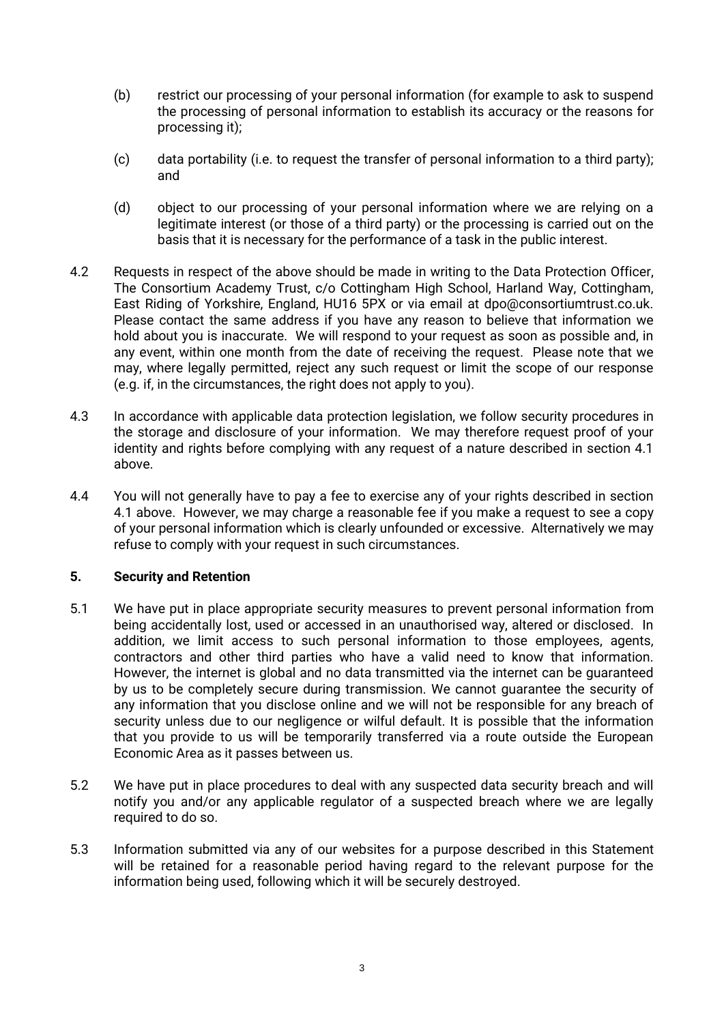- (b) restrict our processing of your personal information (for example to ask to suspend the processing of personal information to establish its accuracy or the reasons for processing it);
- (c) data portability (i.e. to request the transfer of personal information to a third party); and
- (d) object to our processing of your personal information where we are relying on a legitimate interest (or those of a third party) or the processing is carried out on the basis that it is necessary for the performance of a task in the public interest.
- 4.2 Requests in respect of the above should be made in writing to the Data Protection Officer, The Consortium Academy Trust, c/o Cottingham High School, Harland Way, Cottingham, East Riding of Yorkshire, England, HU16 5PX or via email at dpo@consortiumtrust.co.uk. Please contact the same address if you have any reason to believe that information we hold about you is inaccurate. We will respond to your request as soon as possible and, in any event, within one month from the date of receiving the request. Please note that we may, where legally permitted, reject any such request or limit the scope of our response (e.g. if, in the circumstances, the right does not apply to you).
- 4.3 In accordance with applicable data protection legislation, we follow security procedures in the storage and disclosure of your information. We may therefore request proof of your identity and rights before complying with any request of a nature described in section 4.1 above.
- 4.4 You will not generally have to pay a fee to exercise any of your rights described in section 4.1 above. However, we may charge a reasonable fee if you make a request to see a copy of your personal information which is clearly unfounded or excessive. Alternatively we may refuse to comply with your request in such circumstances.

## **5. Security and Retention**

- 5.1 We have put in place appropriate security measures to prevent personal information from being accidentally lost, used or accessed in an unauthorised way, altered or disclosed. In addition, we limit access to such personal information to those employees, agents, contractors and other third parties who have a valid need to know that information. However, the internet is global and no data transmitted via the internet can be guaranteed by us to be completely secure during transmission. We cannot guarantee the security of any information that you disclose online and we will not be responsible for any breach of security unless due to our negligence or wilful default. It is possible that the information that you provide to us will be temporarily transferred via a route outside the European Economic Area as it passes between us.
- 5.2 We have put in place procedures to deal with any suspected data security breach and will notify you and/or any applicable regulator of a suspected breach where we are legally required to do so.
- 5.3 Information submitted via any of our websites for a purpose described in this Statement will be retained for a reasonable period having regard to the relevant purpose for the information being used, following which it will be securely destroyed.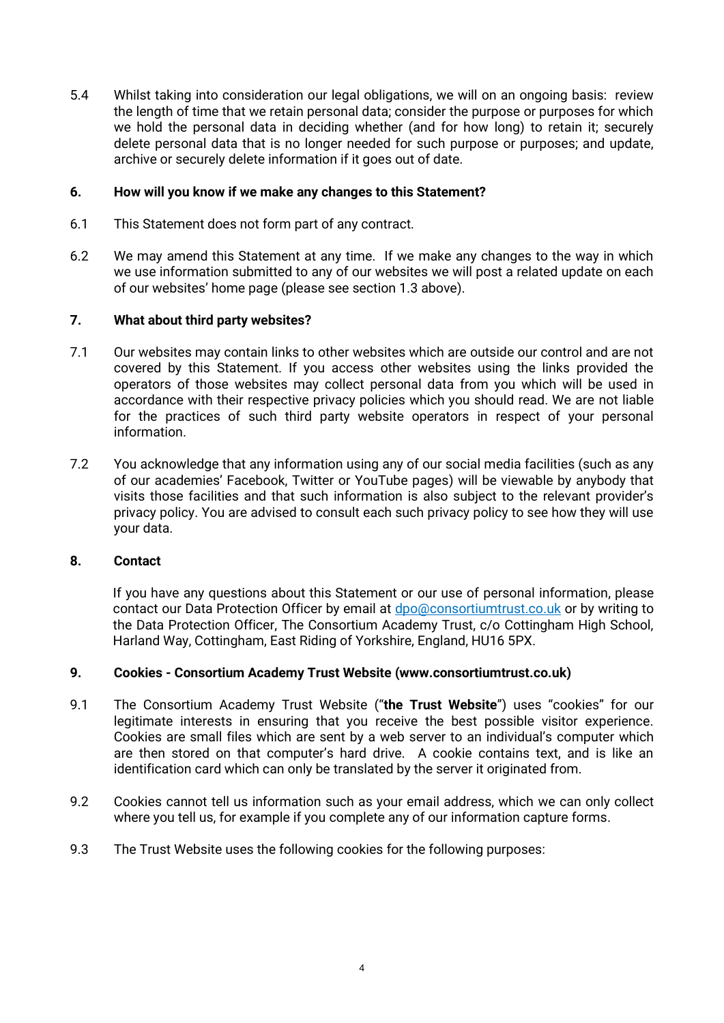5.4 Whilst taking into consideration our legal obligations, we will on an ongoing basis: review the length of time that we retain personal data; consider the purpose or purposes for which we hold the personal data in deciding whether (and for how long) to retain it; securely delete personal data that is no longer needed for such purpose or purposes; and update, archive or securely delete information if it goes out of date.

# **6. How will you know if we make any changes to this Statement?**

- 6.1 This Statement does not form part of any contract.
- 6.2 We may amend this Statement at any time. If we make any changes to the way in which we use information submitted to any of our websites we will post a related update on each of our websites' home page (please see section 1.3 above).

# **7. What about third party websites?**

- 7.1 Our websites may contain links to other websites which are outside our control and are not covered by this Statement. If you access other websites using the links provided the operators of those websites may collect personal data from you which will be used in accordance with their respective privacy policies which you should read. We are not liable for the practices of such third party website operators in respect of your personal information.
- 7.2 You acknowledge that any information using any of our social media facilities (such as any of our academies' Facebook, Twitter or YouTube pages) will be viewable by anybody that visits those facilities and that such information is also subject to the relevant provider's privacy policy. You are advised to consult each such privacy policy to see how they will use your data.

## **8. Contact**

If you have any questions about this Statement or our use of personal information, please contact our Data Protection Officer by email at dpo@consortiumtrust.co.uk or by writing to the Data Protection Officer, The Consortium Academy Trust, c/o Cottingham High School, Harland Way, Cottingham, East Riding of Yorkshire, England, HU16 5PX.

## **9. Cookies - Consortium Academy Trust Website (www.consortiumtrust.co.uk)**

- 9.1 The Consortium Academy Trust Website ("**the Trust Website**") uses "cookies" for our legitimate interests in ensuring that you receive the best possible visitor experience. Cookies are small files which are sent by a web server to an individual's computer which are then stored on that computer's hard drive. A cookie contains text, and is like an identification card which can only be translated by the server it originated from.
- 9.2 Cookies cannot tell us information such as your email address, which we can only collect where you tell us, for example if you complete any of our information capture forms.
- 9.3 The Trust Website uses the following cookies for the following purposes: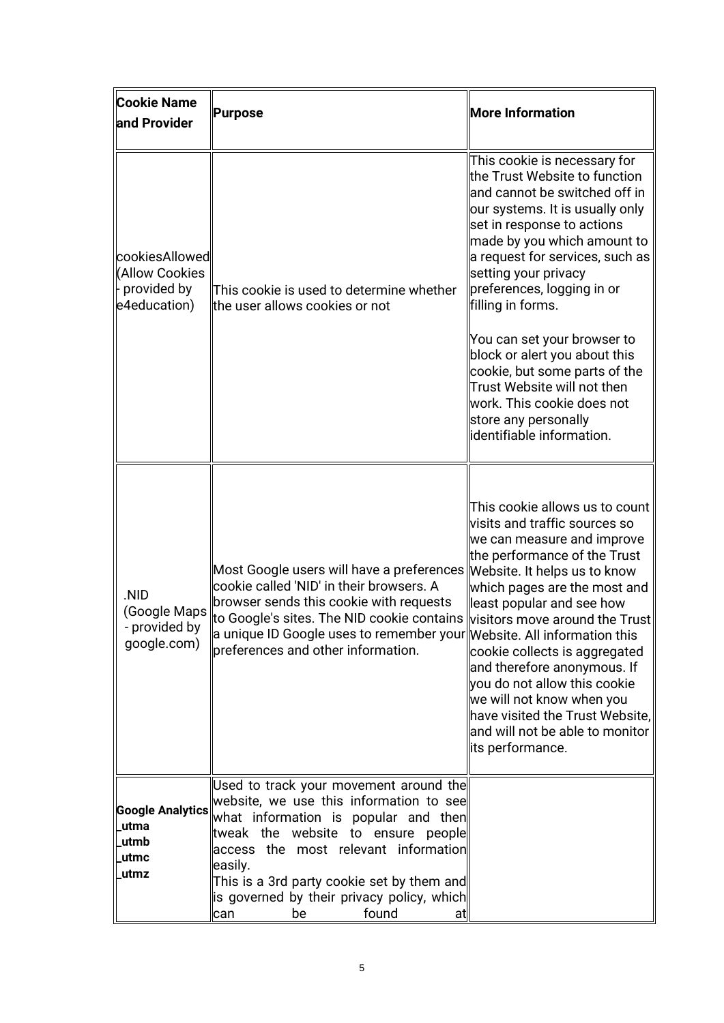| <b>Cookie Name</b><br>and Provider                                       | Purpose                                                                                                                                                                                                                                                                                                                                             | <b>More Information</b>                                                                                                                                                                                                                                                                                                                                                                                                                                                                                                            |
|--------------------------------------------------------------------------|-----------------------------------------------------------------------------------------------------------------------------------------------------------------------------------------------------------------------------------------------------------------------------------------------------------------------------------------------------|------------------------------------------------------------------------------------------------------------------------------------------------------------------------------------------------------------------------------------------------------------------------------------------------------------------------------------------------------------------------------------------------------------------------------------------------------------------------------------------------------------------------------------|
| cookiesAllowed<br>(Allow Cookies<br>$\vdash$ provided by<br>e4education) | This cookie is used to determine whether<br>the user allows cookies or not                                                                                                                                                                                                                                                                          | This cookie is necessary for<br>the Trust Website to function<br>and cannot be switched off in<br>our systems. It is usually only<br>set in response to actions<br>made by you which amount to<br>a request for services, such as<br>setting your privacy<br>preferences, logging in or!<br>filling in forms.<br>You can set your browser to<br>block or alert you about this<br>cookie, but some parts of the<br>Trust Website will not then<br>work. This cookie does not<br>store any personally<br>llidentifiable information. |
| .NID<br>(Google Maps<br>- provided by<br>google.com)                     | Most Google users will have a preferences Website. It helps us to know<br>cookie called 'NID' in their browsers. A<br>browser sends this cookie with requests<br>to Google's sites. The NID cookie contains<br>$\parallel$ a unique ID Google uses to remember your $\parallel$ Website. All information this<br>preferences and other information. | This cookie allows us to count<br>visits and traffic sources so<br>we can measure and improve<br>the performance of the Trust<br>which pages are the most and<br>least popular and see how<br>visitors move around the Trust<br>cookie collects is aggregated<br>and therefore anonymous. If<br>you do not allow this cookie<br>we will not know when you<br>have visited the Trust Website,<br>and will not be able to monitor<br>its performance.                                                                                |
| <b>Google Analytics</b><br>utma<br>utmb<br>utmc<br>utmz                  | Used to track your movement around the<br>website, we use this information to see<br>what information is popular and then<br>tweak the website to ensure people<br>access the most relevant information<br>easily.<br>This is a 3rd party cookie set by them and<br>lis governed by their privacy policy, which  <br>found<br>can<br>be<br>at       |                                                                                                                                                                                                                                                                                                                                                                                                                                                                                                                                    |